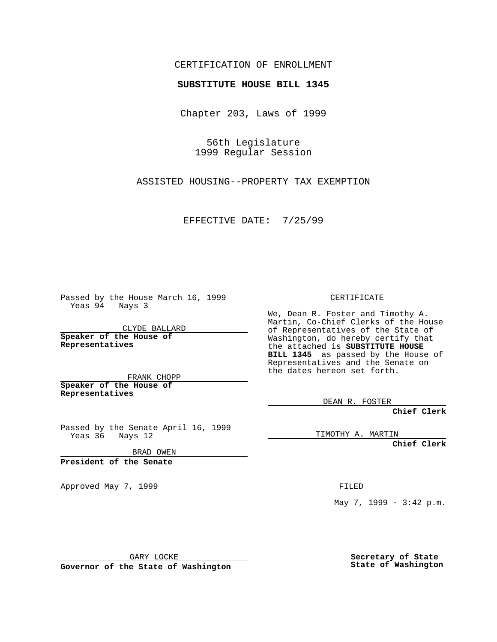## CERTIFICATION OF ENROLLMENT

## **SUBSTITUTE HOUSE BILL 1345**

Chapter 203, Laws of 1999

56th Legislature 1999 Regular Session

ASSISTED HOUSING--PROPERTY TAX EXEMPTION

EFFECTIVE DATE: 7/25/99

Passed by the House March 16, 1999 Yeas 94 Nays 3

CLYDE BALLARD **Speaker of the House of Representatives**

FRANK CHOPP **Speaker of the House of Representatives**

Passed by the Senate April 16, 1999 Yeas 36 Nays 12

BRAD OWEN

**President of the Senate**

Approved May 7, 1999 **FILED** 

CERTIFICATE

We, Dean R. Foster and Timothy A. Martin, Co-Chief Clerks of the House of Representatives of the State of Washington, do hereby certify that the attached is **SUBSTITUTE HOUSE BILL 1345** as passed by the House of Representatives and the Senate on the dates hereon set forth.

DEAN R. FOSTER

**Chief Clerk**

TIMOTHY A. MARTIN

**Chief Clerk**

May 7, 1999 - 3:42 p.m.

GARY LOCKE

**Governor of the State of Washington**

**Secretary of State State of Washington**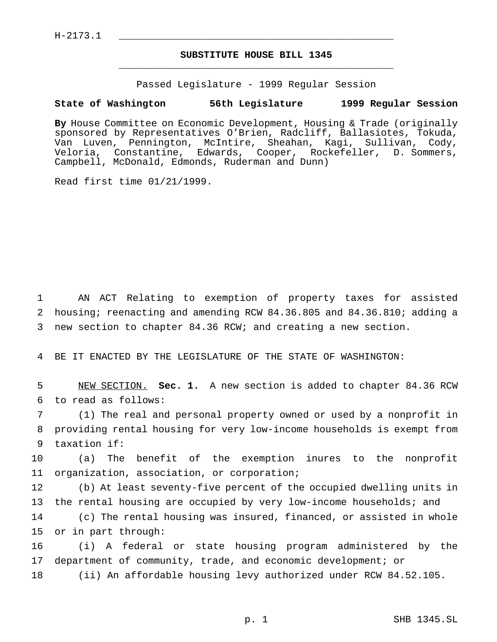$H-2173.1$ 

## **SUBSTITUTE HOUSE BILL 1345** \_\_\_\_\_\_\_\_\_\_\_\_\_\_\_\_\_\_\_\_\_\_\_\_\_\_\_\_\_\_\_\_\_\_\_\_\_\_\_\_\_\_\_\_\_\_\_

Passed Legislature - 1999 Regular Session

## **State of Washington 56th Legislature 1999 Regular Session**

**By** House Committee on Economic Development, Housing & Trade (originally sponsored by Representatives O'Brien, Radcliff, Ballasiotes, Tokuda, Van Luven, Pennington, McIntire, Sheahan, Kagi, Sullivan, Cody, Veloria, Constantine, Edwards, Cooper, Rockefeller, D. Sommers, Campbell, McDonald, Edmonds, Ruderman and Dunn)

Read first time 01/21/1999.

1 AN ACT Relating to exemption of property taxes for assisted 2 housing; reenacting and amending RCW 84.36.805 and 84.36.810; adding a 3 new section to chapter 84.36 RCW; and creating a new section.

4 BE IT ENACTED BY THE LEGISLATURE OF THE STATE OF WASHINGTON:

5 NEW SECTION. **Sec. 1.** A new section is added to chapter 84.36 RCW 6 to read as follows:

7 (1) The real and personal property owned or used by a nonprofit in 8 providing rental housing for very low-income households is exempt from 9 taxation if:

10 (a) The benefit of the exemption inures to the nonprofit 11 organization, association, or corporation;

12 (b) At least seventy-five percent of the occupied dwelling units in 13 the rental housing are occupied by very low-income households; and

14 (c) The rental housing was insured, financed, or assisted in whole 15 or in part through:

16 (i) A federal or state housing program administered by the 17 department of community, trade, and economic development; or

18 (ii) An affordable housing levy authorized under RCW 84.52.105.

p. 1 SHB 1345.SL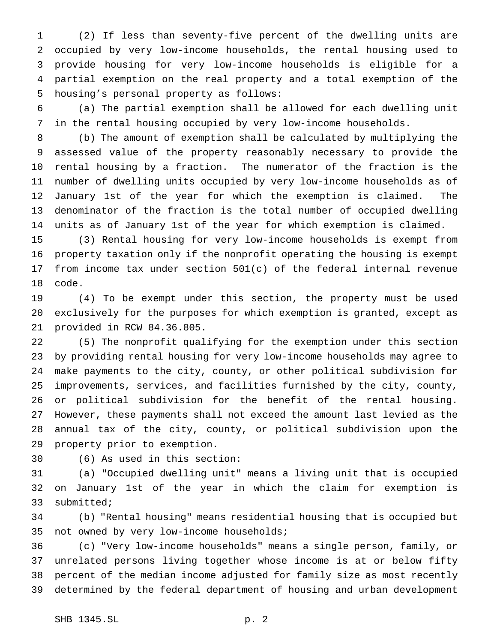(2) If less than seventy-five percent of the dwelling units are occupied by very low-income households, the rental housing used to provide housing for very low-income households is eligible for a partial exemption on the real property and a total exemption of the housing's personal property as follows:

 (a) The partial exemption shall be allowed for each dwelling unit in the rental housing occupied by very low-income households.

 (b) The amount of exemption shall be calculated by multiplying the assessed value of the property reasonably necessary to provide the rental housing by a fraction. The numerator of the fraction is the number of dwelling units occupied by very low-income households as of January 1st of the year for which the exemption is claimed. The denominator of the fraction is the total number of occupied dwelling units as of January 1st of the year for which exemption is claimed.

 (3) Rental housing for very low-income households is exempt from property taxation only if the nonprofit operating the housing is exempt from income tax under section 501(c) of the federal internal revenue code.

 (4) To be exempt under this section, the property must be used exclusively for the purposes for which exemption is granted, except as provided in RCW 84.36.805.

 (5) The nonprofit qualifying for the exemption under this section by providing rental housing for very low-income households may agree to make payments to the city, county, or other political subdivision for improvements, services, and facilities furnished by the city, county, or political subdivision for the benefit of the rental housing. However, these payments shall not exceed the amount last levied as the annual tax of the city, county, or political subdivision upon the property prior to exemption.

(6) As used in this section:

 (a) "Occupied dwelling unit" means a living unit that is occupied on January 1st of the year in which the claim for exemption is submitted;

 (b) "Rental housing" means residential housing that is occupied but not owned by very low-income households;

 (c) "Very low-income households" means a single person, family, or unrelated persons living together whose income is at or below fifty percent of the median income adjusted for family size as most recently determined by the federal department of housing and urban development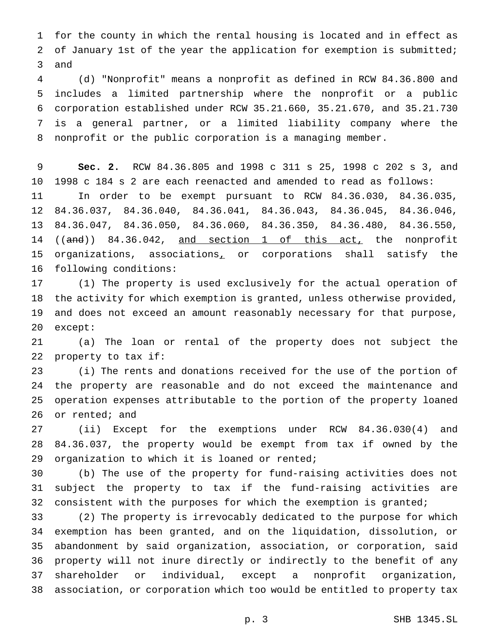for the county in which the rental housing is located and in effect as of January 1st of the year the application for exemption is submitted; and

 (d) "Nonprofit" means a nonprofit as defined in RCW 84.36.800 and includes a limited partnership where the nonprofit or a public corporation established under RCW 35.21.660, 35.21.670, and 35.21.730 is a general partner, or a limited liability company where the nonprofit or the public corporation is a managing member.

 **Sec. 2.** RCW 84.36.805 and 1998 c 311 s 25, 1998 c 202 s 3, and 1998 c 184 s 2 are each reenacted and amended to read as follows: In order to be exempt pursuant to RCW 84.36.030, 84.36.035, 84.36.037, 84.36.040, 84.36.041, 84.36.043, 84.36.045, 84.36.046, 84.36.047, 84.36.050, 84.36.060, 84.36.350, 84.36.480, 84.36.550, 14 ((and)) 84.36.042, and section 1 of this act, the nonprofit organizations, associations, or corporations shall satisfy the following conditions:

 (1) The property is used exclusively for the actual operation of the activity for which exemption is granted, unless otherwise provided, and does not exceed an amount reasonably necessary for that purpose, except:

 (a) The loan or rental of the property does not subject the property to tax if:

 (i) The rents and donations received for the use of the portion of the property are reasonable and do not exceed the maintenance and operation expenses attributable to the portion of the property loaned or rented; and

 (ii) Except for the exemptions under RCW 84.36.030(4) and 84.36.037, the property would be exempt from tax if owned by the organization to which it is loaned or rented;

 (b) The use of the property for fund-raising activities does not subject the property to tax if the fund-raising activities are 32 consistent with the purposes for which the exemption is granted;

 (2) The property is irrevocably dedicated to the purpose for which exemption has been granted, and on the liquidation, dissolution, or abandonment by said organization, association, or corporation, said property will not inure directly or indirectly to the benefit of any shareholder or individual, except a nonprofit organization, association, or corporation which too would be entitled to property tax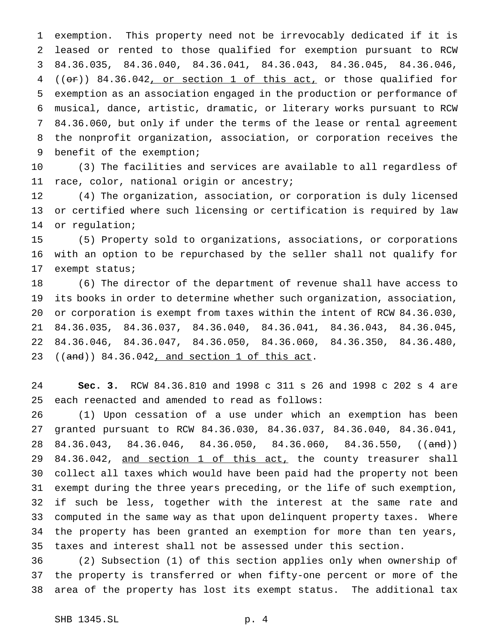exemption. This property need not be irrevocably dedicated if it is leased or rented to those qualified for exemption pursuant to RCW 84.36.035, 84.36.040, 84.36.041, 84.36.043, 84.36.045, 84.36.046, ((or)) 84.36.042, or section 1 of this act, or those qualified for exemption as an association engaged in the production or performance of musical, dance, artistic, dramatic, or literary works pursuant to RCW 84.36.060, but only if under the terms of the lease or rental agreement the nonprofit organization, association, or corporation receives the benefit of the exemption;

 (3) The facilities and services are available to all regardless of race, color, national origin or ancestry;

 (4) The organization, association, or corporation is duly licensed or certified where such licensing or certification is required by law or regulation;

 (5) Property sold to organizations, associations, or corporations with an option to be repurchased by the seller shall not qualify for exempt status;

 (6) The director of the department of revenue shall have access to its books in order to determine whether such organization, association, or corporation is exempt from taxes within the intent of RCW 84.36.030, 84.36.035, 84.36.037, 84.36.040, 84.36.041, 84.36.043, 84.36.045, 84.36.046, 84.36.047, 84.36.050, 84.36.060, 84.36.350, 84.36.480, ((and)) 84.36.042, and section 1 of this act.

 **Sec. 3.** RCW 84.36.810 and 1998 c 311 s 26 and 1998 c 202 s 4 are each reenacted and amended to read as follows:

 (1) Upon cessation of a use under which an exemption has been granted pursuant to RCW 84.36.030, 84.36.037, 84.36.040, 84.36.041, 28 84.36.043, 84.36.046, 84.36.050, 84.36.060, 84.36.550, ((and)) 29 84.36.042, and section 1 of this act, the county treasurer shall collect all taxes which would have been paid had the property not been exempt during the three years preceding, or the life of such exemption, if such be less, together with the interest at the same rate and computed in the same way as that upon delinquent property taxes. Where the property has been granted an exemption for more than ten years, taxes and interest shall not be assessed under this section.

 (2) Subsection (1) of this section applies only when ownership of the property is transferred or when fifty-one percent or more of the area of the property has lost its exempt status. The additional tax